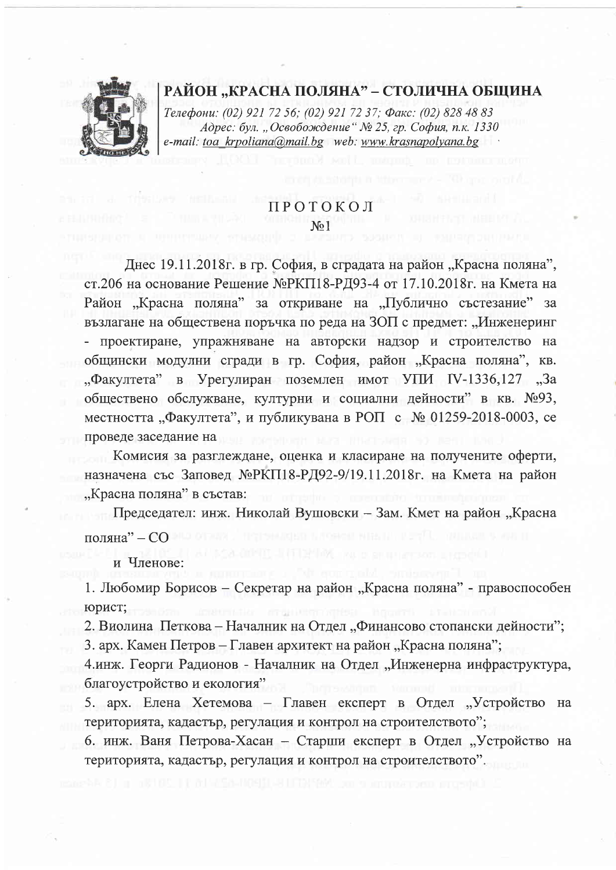# РАЙОН "КРАСНА ПОЛЯНА" – СТОЛИЧНА ОБЩИНА

Телефони: (02) 921 72 56; (02) 921 72 37; Факс: (02) 828 48 83 Адрес: бул. "Освобождение" № 25, гр. София, п.к. 1330 e-mail: toa krpoliana@mail.bg web: www.krasnapolyana.bg

# ПРОТОКОЛ  $N<sub>0</sub>1$

Днес 19.11.2018г. в гр. София, в сградата на район "Красна поляна", ст.206 на основание Решение №РКП18-РД93-4 от 17.10.2018г. на Кмета на Район "Красна поляна" за откриване на "Публично състезание" за възлагане на обществена поръчка по реда на ЗОП с предмет: "Инженеринг - проектиране, упражняване на авторски надзор и строителство на общински модулни сгради в гр. София, район "Красна поляна", кв. "Факултета" в Урегулиран поземлен имот УПИ IV-1336,127 "За обществено обслужване, културни и социални дейности" в кв. №93, местността "Факултета", и публикувана в РОП с № 01259-2018-0003, се проведе заседание на

Комисия за разглеждане, оценка и класиране на получените оферти, назначена със Заповед №РКП18-РД92-9/19.11.2018г. на Кмета на район "Красна поляна" в състав:

Председател: инж. Николай Вушовски - Зам. Кмет на район "Красна поляна" - СО

и Членове:

1. Любомир Борисов – Секретар на район "Красна поляна" - правоспособен юрист;

2. Виолина Петкова - Началник на Отдел "Финансово стопански дейности";

3. арх. Камен Петров – Главен архитект на район "Красна поляна";

4.инж. Георги Радионов - Началник на Отдел "Инженерна инфраструктура, благоустройство и екология"

5. арх. Елена Хетемова - Главен експерт в Отдел "Устройство на територията, кадастър, регулация и контрол на строителството";

6. инж. Ваня Петрова-Хасан - Старши експерт в Отдел "Устройство на територията, кадастър, регулация и контрол на строителството".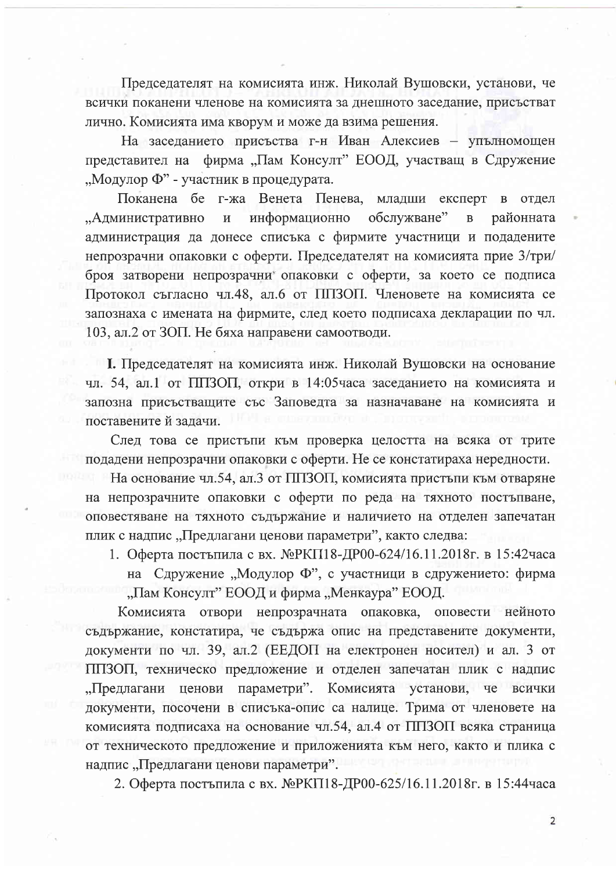Председателят на комисията инж. Николай Вушовски, установи, че всички поканени членове на комисията за днешното заседание, присъстват лично. Комисията има кворум и може да взима решения.

На заседанието присъства г-н Иван Алексиев – упълномощен представител на фирма "Пам Консулт" ЕООД, участващ в Сдружение "Модулор Ф" - участник в процедурата.

Поканена бе г-жа Венета Пенева, младши експерт в отдел "Административно  $\mathbf H$ информационно обслужване"  $\overline{B}$ районната администрация да донесе списъка с фирмите участници и подадените непрозрачни опаковки с оферти. Председателят на комисията прие  $3/\text{rph}/$ броя затворени непрозрачни опаковки с оферти, за което се подписа Протокол съгласно чл.48, ал.6 от ППЗОП. Членовете на комисията се запознаха с имената на фирмите, след което подписаха декларации по чл. 103, ал.2 от ЗОП. Не бяха направени самоотводи.

І. Председателят на комисията инж. Николай Вушовски на основание чл. 54, ал.1 от ППЗОП, откри в 14:05 часа заседанието на комисията и запозна присъстващите със Заповедта за назначаване на комисията и поставените й задачи.

След това се пристъпи към проверка целостта на всяка от трите подадени непрозрачни опаковки с оферти. Не се констатираха нередности.

На основание чл.54, ал.3 от ППЗОП, комисията пристъпи към отваряне на непрозрачните опаковки с оферти по реда на тяхното постъпване, оповестяване на тяхното съдържание и наличието на отделен запечатан плик с надпис "Предлагани ценови параметри", както следва:

1. Оферта постъпила с вх. №РКП18-ДР00-624/16.11.2018г. в 15:42часа на Сдружение "Модулор Ф", с участници в сдружението: фирма "Пам Консулт" ЕООД и фирма "Менкаура" ЕООД.

Комисията отвори непрозрачната опаковка, оповести нейното съдържание, констатира, че съдържа опис на представените документи, документи по чл. 39, ал.2 (ЕЕДОП на електронен носител) и ал. 3 от ППЗОП, техническо предложение и отделен запечатан плик с надпис "Предлагани ценови параметри". Комисията установи, че всички документи, посочени в списъка-опис са налице. Трима от членовете на комисията подписаха на основание чл.54, ал.4 от ППЗОП всяка страница от техническото предложение и приложенията към него, както и плика с надпис "Предлагани ценови параметри".

2. Оферта постъпила с вх. №РКП18-ДР00-625/16.11.2018г. в 15:44часа

 $\overline{2}$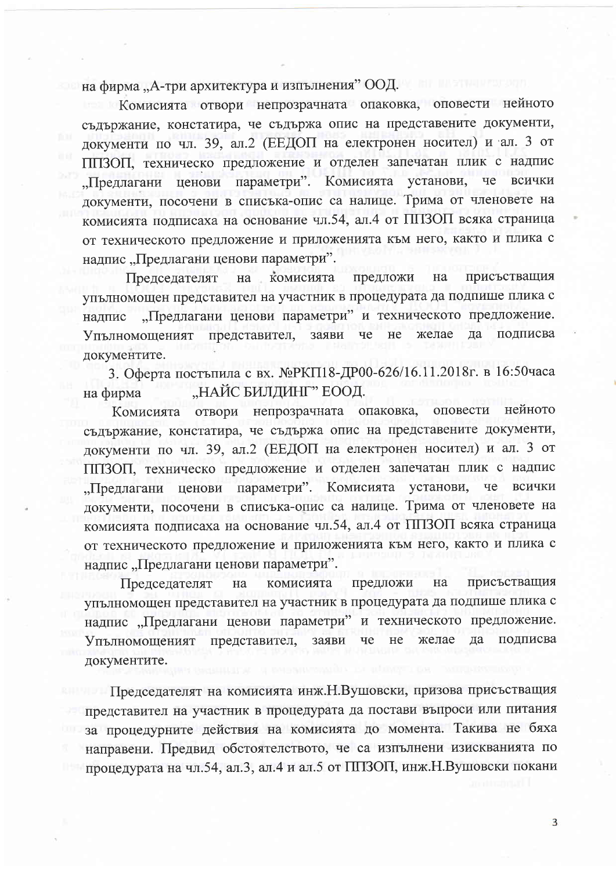на фирма "А-три архитектура и изпълнения" ООД.

Комисията отвори непрозрачната опаковка, оповести нейното съдържание, констатира, че съдържа опис на представените документи, документи по чл. 39, ал.2 (ЕЕДОП на електронен носител) и ал. 3 от ППЗОП, техническо предложение и отделен запечатан плик с надпис "Предлагани ценови параметри". Комисията установи, всички че документи, посочени в списъка-опис са налице. Трима от членовете на комисията подписаха на основание чл.54, ал.4 от ППЗОП всяка страница от техническото предложение и приложенията към него, както и плика с надпис "Предлагани ценови параметри".

комисията предложи присъстващия Председателят на на упълномощен представител на участник в процедурата да подпише плика с "Предлагани ценови параметри" и техническото предложение. надпис да подписва представител, заяви че He желае Упълномощеният документите.

3. Оферта постъпила с вх. №РКП18-ДР00-626/16.11.2018г. в 16:50часа "НАЙС БИЛДИНГ" ЕООД. на фирма

нейното отвори непрозрачната опаковка, оповести Комисията съдържание, констатира, че съдържа опис на представените документи, документи по чл. 39, ал.2 (ЕЕДОП на електронен носител) и ал. 3 от ППЗОП, техническо предложение и отделен запечатан плик с надпис параметри". Комисията че установи, всички "Предлагани ценови документи, посочени в списъка-опис са налице. Трима от членовете на комисията подписаха на основание чл.54, ал.4 от ППЗОП всяка страница от техническото предложение и приложенията към него, както и плика с надпис "Предлагани ценови параметри".

присъстващия предложи на Председателят комисията на упълномощен представител на участник в процедурата да подпише плика с надпис "Предлагани ценови параметри" и техническото предложение. представител, желае подписва Упълномощеният заяви че He да документите.

Председателят на комисията инж. Н. Вушовски, призова присъстващия представител на участник в процедурата да постави въпроси или питания за процедурните действия на комисията до момента. Такива не бяха направени. Предвид обстоятелството, че са изпълнени изискванията по процедурата на чл.54, ал.3, ал.4 и ал.5 от ППЗОП, инж. Н. Вушовски покани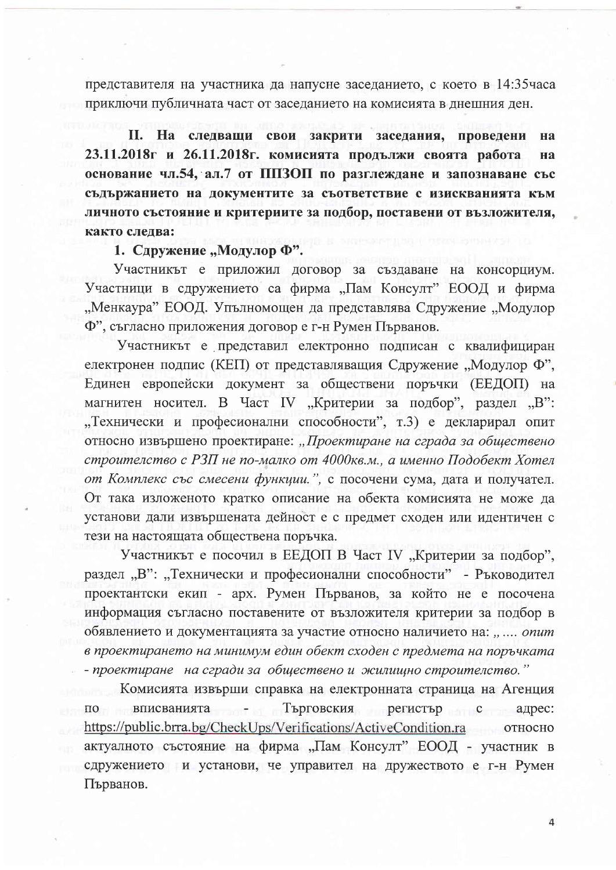представителя на участника да напусне заседанието, с което в 14:35 часа приключи публичната част от заседанието на комисията в днешния ден.

II. На следващи свои закрити заседания, проведени **H<sub>2</sub>** 23.11.2018г и 26.11.2018г. комисията продължи своята работа **H<sub>2</sub>** основание чл.54, ал.7 от ППЗОП по разглеждане и запознаване със съдържанието на документите за съответствие с изискванията към личното състояние и критериите за подбор, поставени от възложителя, както следва:

1. Сдружение "Модулор Ф".

Участникът е приложил договор за създаване на консорциум. Участници в сдружението са фирма "Пам Консулт" ЕООД и фирма "Менкаура" ЕООД. Упълномощен да представлява Сдружение "Модулор Ф", съгласно приложения договор е г-н Румен Първанов.

Участникът е представил електронно подписан с квалифициран електронен подпис (КЕП) от представляващия Сдружение "Модулор Ф", Единен европейски документ за обществени поръчки (ЕЕДОП) на магнитен носител. В Част IV "Критерии за подбор", раздел "В": "Технически и професионални способности", т.3) е декларирал опит относно извършено проектиране: "Проектиране на сграда за обществено строителство с РЗП не по-малко от 4000кв.м., а именно Подобект Хотел от Комплекс със смесени функции.", с посочени сума, дата и получател. От така изложеното кратко описание на обекта комисията не може да установи дали извършената дейност е с предмет сходен или идентичен с тези на настоящата обществена поръчка.

Участникът е посочил в ЕЕДОП В Част IV "Критерии за подбор", раздел "В": "Технически и професионални способности" - Ръководител проектантски екип - арх. Румен Първанов, за който не е посочена информация съгласно поставените от възложителя критерии за подбор в обявлението и документацията за участие относно наличието на: ".... опит в проектирането на минимум един обект сходен с предмета на поръчката - проектиране на сгради за обществено и жилищно строителство."

Комисията извърши справка на електронната страница на Агенция по вписванията -Търговския регистър с адрес: https://public.brra.bg/CheckUps/Verifications/ActiveCondition.ra относно актуалното състояние на фирма "Пам Консулт" ЕООД - участник в сдружението и установи, че управител на дружеството е г-н Румен Първанов.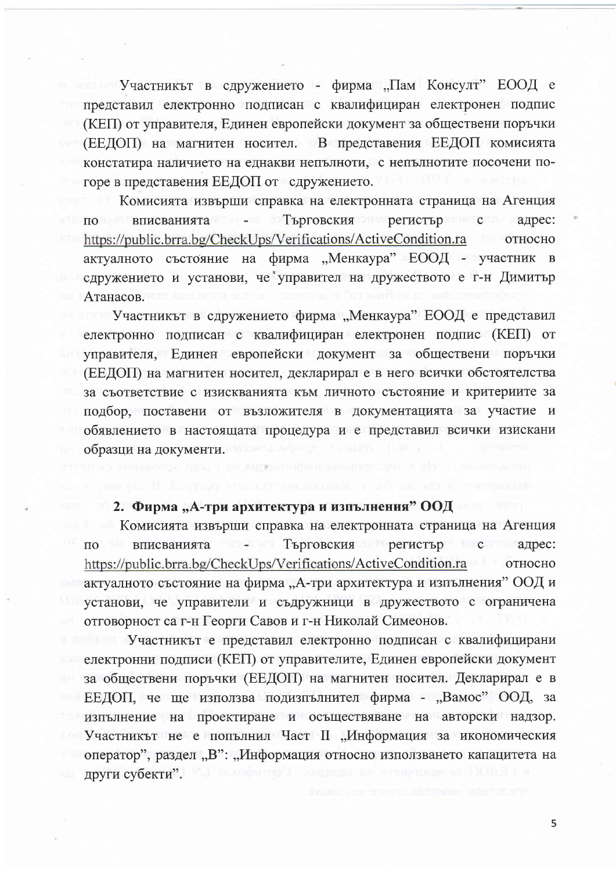Участникът в сдружението - фирма "Пам Консулт" ЕООД е представил електронно подписан с квалифициран електронен подпис (КЕП) от управителя, Единен европейски документ за обществени поръчки (ЕЕДОП) на магнитен носител. В представения ЕЕДОП комисията констатира наличието на еднакви непълноти, с непълнотите посочени погоре в представения ЕЕДОП от сдружението.

Комисията извърши справка на електронната страница на Агенция по вписванията - Търговския регистър с адрес: https://public.brra.bg/CheckUps/Verifications/ActiveCondition.ra относно актуалното състояние на фирма "Менкаура" ЕООД - участник в сдружението и установи, че управител на дружеството е г-н Димитър Атанасов.

Участникът в сдружението фирма "Менкаура" ЕООД е представил електронно подписан с квалифициран електронен подпис (КЕП) от управителя, Единен европейски документ за обществени поръчки (ЕЕДОП) на магнитен носител, декларирал е в него всички обстоятелства за съответствие с изискванията към личното състояние и критериите за подбор, поставени от възложителя в документацията за участие и обявлението в настоящата процедура и е представил всички изискани образци на документи.

mente province a formation in series to the

### **2. Фирма "А-три архитектура и изпълнения" ООД**

Комисията извърши справка на електронната страница на Агенция вписванията - Търговския регистър с адрес:  $\overline{10}$ https://public.brra.bg/CheckUps/Verifications/ActiveCondition.ra относно актуалното състояние на фирма "А-три архитектура и изпълнения" ООД и установи, че управители и съдружници в дружеството с ограничена отговорност са г-н Георги Савов и г-н Николай Симеонов.

Участникът е представил електронно подписан с квалифицирани електронни подписи (КЕП) от управителите, Единен европейски документ за обществени поръчки (ЕЕДОП) на магнитен носител. Декларирал е в ЕЕДОП, че ще използва подизпълнител фирма - "Вамос" ООД, за изпълнение на проектиране и осъществяване на авторски надзор. Участникът не е попълнил Част II "Информация за икономическия оператор", раздел "В": "Информация относно използването капацитета на други субекти".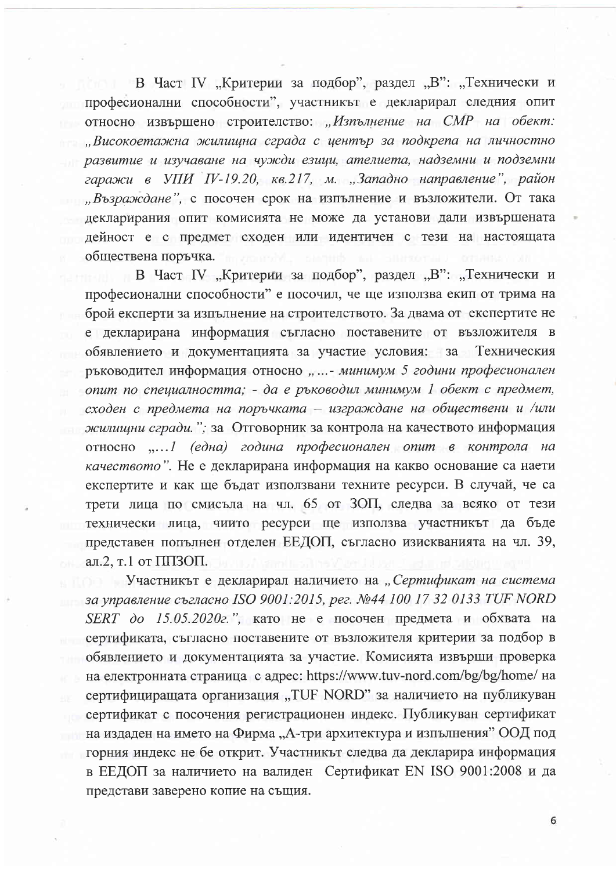В Част IV "Критерии за подбор", раздел "В": "Технически и професионални способности", участникът е декларирал следния опит относно извършено строителство: "Изпълнение на СМР на обект: "Високоетажна жилищна сграда с център за подкрепа на личностно развитие и изучаване на чужди езици, ателиета, надземни и подземни гаражи в УПИ IV-19.20, кв.217, м. "Западно направление", район "Възраждане", с посочен срок на изпълнение и възложители. От така декларирания опит комисията не може да установи дали извършената дейност е с предмет сходен или идентичен с тези на настоящата обществена поръчка.

В Част IV "Критерии за подбор", раздел "В": "Технически и професионални способности" е посочил, че ще използва екип от трима на брой експерти за изпълнение на строителството. За двама от експертите не е декларирана информация съгласно поставените от възложителя в обявлението и документацията за участие условия: за Техническия ръководител информация относно "...- минимум 5 години професионален опит по специалността; - да е ръководил минимум 1 обект с предмет, сходен с предмета на поръчката - изграждане на обществени и /или жилишни сгради."; за Отговорник за контрола на качеството информация относно "... 1 (една) година професионален опит в контрола на качеството". Не е декларирана информация на какво основание са наети експертите и как ще бъдат използвани техните ресурси. В случай, че са трети лица по смисъла на чл. 65 от ЗОП, следва за всяко от тези технически лица, чиито ресурси ще използва участникът да бъде представен попълнен отделен ЕЕДОП, съгласно изискванията на чл. 39, ал.2, т.1 от ППЗОП.

Участникът е декларирал наличието на "Сертификат на система за управление съгласно ISO 9001:2015, рег. №44 100 17 32 0133 TUF NORD  $SERT$  до 15.05.2020г.", като не е посочен предмета и обхвата на сертификата, съгласно поставените от възложителя критерии за подбор в обявлението и документацията за участие. Комисията извърши проверка на електронната страница с адрес: https://www.tuv-nord.com/bg/bg/home/ на сертифициращата организация "TUF NORD" за наличието на публикуван сертификат с посочения регистрационен индекс. Публикуван сертификат на издаден на името на Фирма "А-три архитектура и изпълнения" ООД под горния индекс не бе открит. Участникът следва да декларира информация в ЕЕДОП за наличието на валиден Сертификат EN ISO 9001:2008 и да представи заверено копие на същия.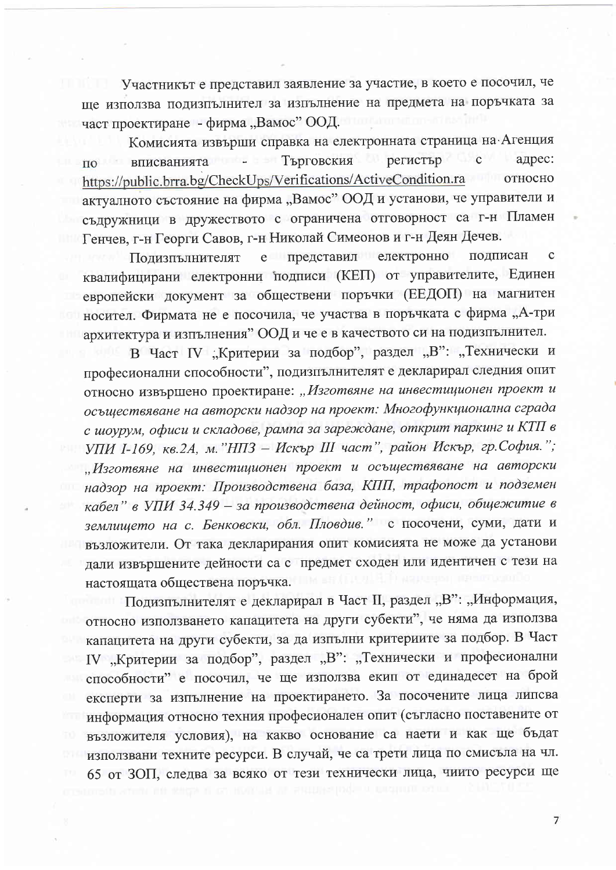Участникът е представил заявление за участие, в което е посочил, че ще използва подизпълнител за изпълнение на предмета на поръчката за част проектиране - фирма "Вамос" ООД.

Комисията извърши справка на електронната страница на Агенция Търговския регистър с адрес: tontro a se вписванията ПО https://public.brra.bg/CheckUps/Verifications/ActiveCondition.ra относно актуалното състояние на фирма "Вамос" ООД и установи, че управители и съдружници в дружеството с ограничена отговорност са г-н Пламен Генчев, г-н Георги Савов, г-н Николай Симеонов и г-н Деян Дечев.

полписан Подизпълнителят е представил електронно  $\mathbf C$ квалифицирани електронни подписи (КЕП) от управителите, Единен европейски документ за обществени поръчки (ЕЕДОП) на магнитен носител. Фирмата не е посочила, че участва в поръчката с фирма "А-три архитектура и изпълнения" ООД и че е в качеството си на подизпълнител.

В Част IV "Критерии за подбор", раздел "В": "Технически и професионални способности", подизпълнителят е декларирал следния опит относно извършено проектиране: "Изготвяне на инвестиционен проект и осъществяване на авторски надзор на проект: Многофункционална сграда с шоурум, офиси и складове, рампа за зареждане, открит паркинг и КТП в УПИ І-169, кв.2А, м. "НПЗ - Искър III част", район Искър, гр.София."; "Изготвяне на инвестиционен проект и осъществяване на авторски надзор на проект: Производствена база, КПП, трафопост и подземен кабел" в УПИ 34.349 - за производствена дейност, офиси, общежитие в землището на с. Бенковски, обл. Пловдив." с посочени, суми, дати и възложители. От така декларирания опит комисията не може да установи дали извършените дейности са с предмет сходен или идентичен с тези на настоящата обществена поръчка.

Подизпълнителят е декларирал в Част II, раздел "В": "Информация, относно използването капацитета на други субекти", че няма да използва капацитета на други субекти, за да изпълни критериите за подбор. В Част IV "Критерии за подбор", раздел "В": "Технически и професионални способности" е посочил, че ще използва екип от единадесет на брой експерти за изпълнение на проектирането. За посочените лица липсва информация относно техния професионален опит (съгласно поставените от възложителя условия), на какво основание са наети и как ще бъдат използвани техните ресурси. В случай, че са трети лица по смисъла на чл. 65 от ЗОП, следва за всяко от тези технически лица, чиито ресурси ще

 $\overline{7}$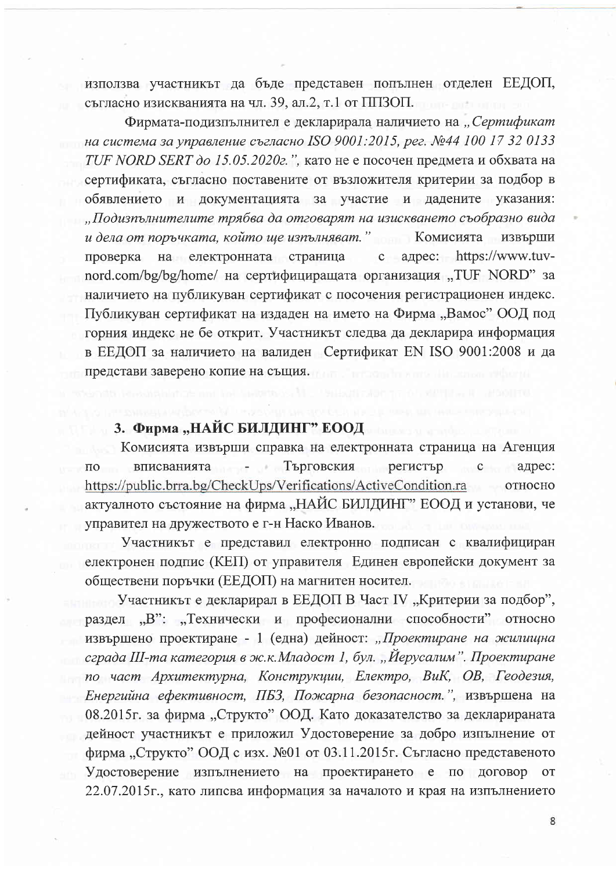използва участникът да бъде представен попълнен отделен ЕЕДОП, съгласно изискванията на чл. 39, ал.2, т.1 от ППЗОП.

Фирмата-подизпълнител е декларирала наличието на "Сертификат на система за управление съгласно ISO 9001:2015, рег. №44 100 17 32 0133 TUF NORD SERT до 15.05.2020г.", като не е посочен предмета и обхвата на сертификата, съгласно поставените от възложителя критерии за подбор в обявлението и документацията за участие и дадените указания: "Подизпълнителите трябва да отговарят на изискването съобразно вида и дела от поръчката, който ще изпълняват." Комисията извърши на електронната страница с адрес: https://www.tuvпроверка nord.com/bg/bg/home/ на сертифициращата организация "TUF NORD" за наличието на публикуван сертификат с посочения регистрационен индекс. Публикуван сертификат на издаден на името на Фирма "Вамос" ООД под горния индекс не бе открит. Участникът следва да декларира информация в ЕЕДОП за наличието на валиден Сертификат EN ISO 9001:2008 и да представи заверено копие на същия.

#### 3. Фирма "НАЙС БИЛДИНГ" ЕООД

Комисията извърши справка на електронната страница на Агенция Търговския регистър вписванията ÷. с адрес: ПО https://public.brra.bg/CheckUps/Verifications/ActiveCondition.ra относно актуалното състояние на фирма "НАЙС БИЛДИНГ" ЕООД и установи, че управител на дружеството е г-н Наско Иванов.

Участникът е представил електронно подписан с квалифициран електронен подпис (КЕП) от управителя Единен европейски документ за обществени поръчки (ЕЕДОП) на магнитен носител.

Участникът е декларирал в ЕЕДОП В Част IV "Критерии за подбор", раздел "В": "Технически и професионални способности" относно извършено проектиране - 1 (една) дейност: "Проектиране на жилищна сграда III-та категория в ж.к. Младост 1, бул. "Йерусалим". Проектиране по част Архитектурна, Конструкции, Електро, ВиК, ОВ, Геодезия, Енергийна ефективност, ПБЗ, Пожарна безопасност.", извършена на 08.2015г. за фирма "Структо" ООД. Като доказателство за декларираната дейност участникът е приложил Удостоверение за добро изпълнение от фирма "Структо" ООД с изх. №01 от 03.11.2015г. Съгласно представеното Удостоверение изпълнението на проектирането е по договор от 22.07.2015г., като липсва информация за началото и края на изпълнението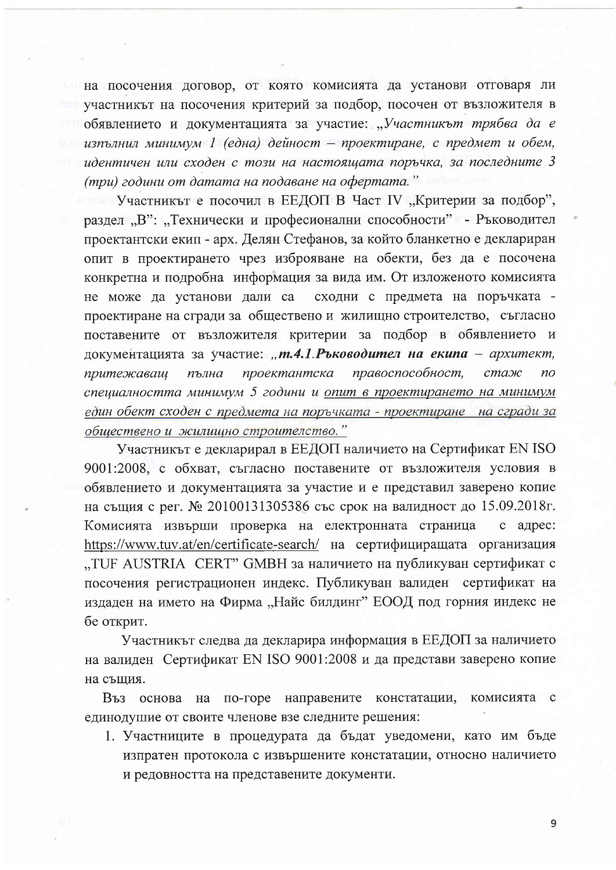на посочения договор, от която комисията да установи отговаря ли участникът на посочения критерий за подбор, посочен от възложителя в обявлението и документацията за участие: "Участникът трябва да е изпълнил минимум 1 (една) дейност – проектиране, с предмет и обем, идентичен или сходен с този на настоящата поръчка, за последните 3 (три) години от датата на подаване на офертата."

Участникът е посочил в ЕЕДОП В Част IV "Критерии за подбор", раздел "В": "Технически и професионални способности" - Ръководител проектантски екип - арх. Делян Стефанов, за който бланкетно е деклариран опит в проектирането чрез изброяване на обекти, без да е посочена конкретна и подробна информация за вида им. От изложеното комисията не може да установи дали са сходни с предмета на поръчката проектиране на сгради за обществено и жилищно строителство, съгласно поставените от възложителя критерии за подбор в обявлението и документацията за участие: "т.4.1. Ръководител на екипа - архитект, проектантска правоспособност, пълна стаж притежаващ  $n<sub>O</sub>$ специалността минимум 5 години и опит в проектирането на минимум един обект сходен с предмета на поръчката - проектиране на сгради за обществено и жилищно строителство."

Участникът е декларирал в ЕЕДОП наличието на Сертификат EN ISO 9001:2008, с обхват, съгласно поставените от възложителя условия в обявлението и документацията за участие и е представил заверено копие на същия с рег. № 20100131305386 със срок на валидност до 15.09.2018г. Комисията извърши проверка на електронната страница с адрес: https://www.tuv.at/en/certificate-search/ на сертифициращата организация "TUF AUSTRIA CERT" GMBH за наличието на публикуван сертификат с посочения регистрационен индекс. Публикуван валиден сертификат на издаден на името на Фирма "Найс билдинг" ЕООД под горния индекс не бе открит.

Участникът следва да декларира информация в ЕЕДОП за наличието на валиден Сертификат EN ISO 9001:2008 и да представи заверено копие на същия.

направените констатации, Въз основа на по-горе комисията  $\mathbf{c}$ единодушие от своите членове взе следните решения:

1. Участниците в процедурата да бъдат уведомени, като им бъде изпратен протокола с извършените констатации, относно наличието и редовността на представените документи.